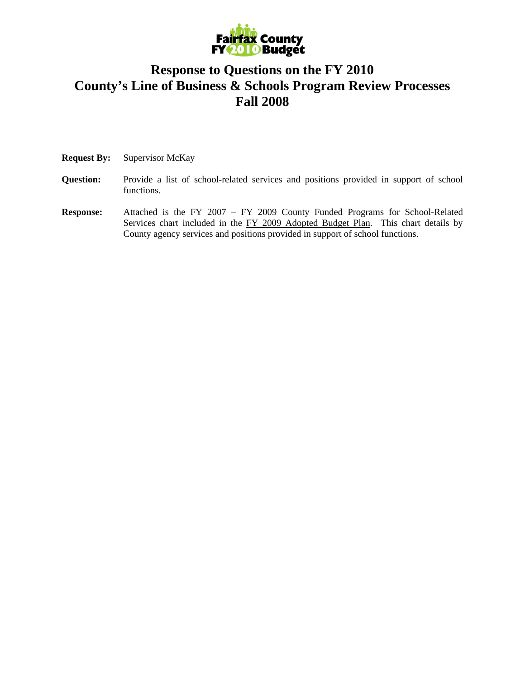

### **Response to Questions on the FY 2010 County's Line of Business & Schools Program Review Processes Fall 2008**

- **Request By:** Supervisor McKay
- **Question:** Provide a list of school-related services and positions provided in support of school functions.
- **Response:** Attached is the FY 2007 FY 2009 County Funded Programs for School-Related Services chart included in the FY 2009 Adopted Budget Plan. This chart details by County agency services and positions provided in support of school functions.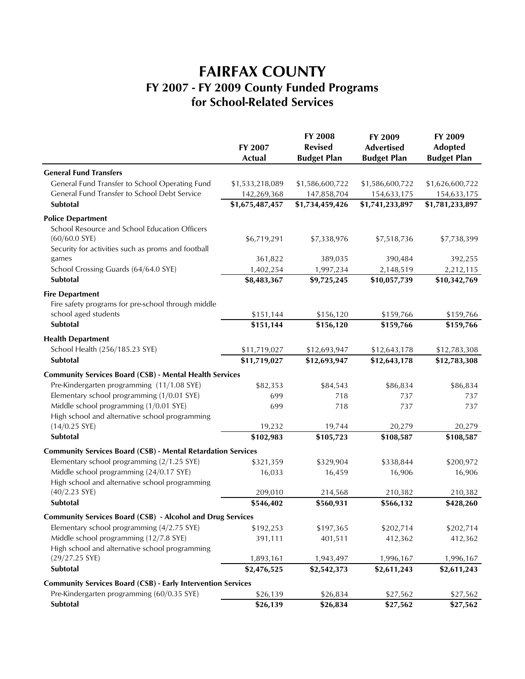# **FAIRFAX COUNTY FY 2007 - FY 2009 County Funded Programs for School-Related Services**

|                                                                     | FY 2007<br><b>Actual</b> | FY 2008<br><b>Revised</b><br><b>Budget Plan</b> | FY 2009<br><b>Advertised</b><br><b>Budget Plan</b> | FY 2009<br><b>Adopted</b><br><b>Budget Plan</b> |
|---------------------------------------------------------------------|--------------------------|-------------------------------------------------|----------------------------------------------------|-------------------------------------------------|
|                                                                     |                          |                                                 |                                                    |                                                 |
|                                                                     |                          |                                                 |                                                    |                                                 |
| <b>General Fund Transfers</b>                                       |                          |                                                 |                                                    |                                                 |
| General Fund Transfer to School Operating Fund                      | \$1,533,218,089          | \$1,586,600,722                                 | \$1,586,600,722                                    | \$1,626,600,722                                 |
| General Fund Transfer to School Debt Service                        | 142,269,368              | 147,858,704                                     | 154,633,175                                        | 154,633,175                                     |
| Subtotal                                                            | \$1,675,487,457          | \$1,734,459,426                                 | \$1,741,233,897                                    | \$1,781,233,897                                 |
| <b>Police Department</b>                                            |                          |                                                 |                                                    |                                                 |
| School Resource and School Education Officers                       |                          |                                                 |                                                    |                                                 |
| $(60/60.0$ SYE)                                                     | \$6,719,291              | \$7,338,976                                     | \$7,518,736                                        | \$7,738,399                                     |
| Security for activities such as proms and football                  |                          |                                                 |                                                    |                                                 |
| games                                                               | 361,822                  | 389,035                                         | 390,484                                            | 392,255                                         |
| School Crossing Guards (64/64.0 SYE)                                | 1,402,254                | 1,997,234                                       | 2,148,519                                          | 2,212,115                                       |
| Subtotal                                                            | \$8,483,367              | \$9,725,245                                     | \$10,057,739                                       | \$10,342,769                                    |
| <b>Fire Department</b>                                              |                          |                                                 |                                                    |                                                 |
| Fire safety programs for pre-school through middle                  |                          |                                                 |                                                    |                                                 |
| school aged students                                                | \$151,144                | \$156,120                                       | \$159,766                                          | \$159,766                                       |
| Subtotal                                                            | \$151,144                | \$156,120                                       | \$159,766                                          | \$159,766                                       |
| <b>Health Department</b>                                            |                          |                                                 |                                                    |                                                 |
| School Health (256/185.23 SYE)                                      | \$11,719,027             | \$12,693,947                                    | \$12,643,178                                       | \$12,783,308                                    |
| Subtotal                                                            | \$11,719,027             | \$12,693,947                                    | \$12,643,178                                       | \$12,783,308                                    |
| <b>Community Services Board (CSB) - Mental Health Services</b>      |                          |                                                 |                                                    |                                                 |
| Pre-Kindergarten programming (11/1.08 SYE)                          | \$82,353                 | \$84,543                                        | \$86,834                                           | \$86,834                                        |
| Elementary school programming (1/0.01 SYE)                          | 699                      | 718                                             | 737                                                | 737                                             |
| Middle school programming (1/0.01 SYE)                              | 699                      | 718                                             | 737                                                | 737                                             |
| High school and alternative school programming                      |                          |                                                 |                                                    |                                                 |
| $(14/0.25$ SYE)                                                     | 19,232                   | 19,744                                          | 20,279                                             | 20,279                                          |
| Subtotal                                                            | \$102,983                | \$105,723                                       | \$108,587                                          | \$108,587                                       |
| <b>Community Services Board (CSB) - Mental Retardation Services</b> |                          |                                                 |                                                    |                                                 |
| Elementary school programming (2/1.25 SYE)                          | \$321,359                | \$329,904                                       | \$338,844                                          | \$200,972                                       |
| Middle school programming (24/0.17 SYE)                             | 16,033                   | 16,459                                          | 16,906                                             | 16,906                                          |
| High school and alternative school programming                      |                          |                                                 |                                                    |                                                 |
| $(40/2.23$ SYE)                                                     | 209,010                  | 214,568                                         | 210,382                                            | 210,382                                         |
| Subtotal                                                            | \$546,402                | \$560,931                                       | \$566,132                                          | \$428,260                                       |
| <b>Community Services Board (CSB) - Alcohol and Drug Services</b>   |                          |                                                 |                                                    |                                                 |
| Elementary school programming (4/2.75 SYE)                          | \$192,253                | \$197,365                                       | \$202,714                                          | \$202,714                                       |
| Middle school programming (12/7.8 SYE)                              | 391,111                  | 401,511                                         | 412,362                                            | 412,362                                         |
| High school and alternative school programming                      |                          |                                                 |                                                    |                                                 |
| $(29/27.25$ SYE)                                                    | 1,893,161                | 1,943,497                                       | 1,996,167                                          | 1,996,167                                       |
| Subtotal                                                            | \$2,476,525              | \$2,542,373                                     | \$2,611,243                                        | \$2,611,243                                     |
| <b>Community Services Board (CSB) - Early Intervention Services</b> |                          |                                                 |                                                    |                                                 |
| Pre-Kindergarten programming (60/0.35 SYE)                          | \$26,139                 | \$26,834                                        | \$27,562                                           | \$27,562                                        |
| Subtotal                                                            | \$26,139                 | \$26,834                                        | \$27,562                                           | \$27,562                                        |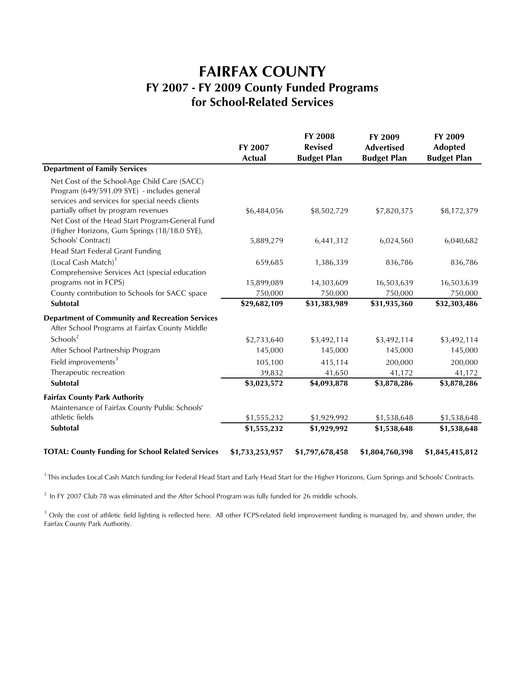### **FAIRFAX COUNTY FY 2007 - FY 2009 County Funded Programs for School-Related Services**

|                                                          | FY 2007<br><b>Actual</b> | <b>FY 2008</b><br><b>Revised</b><br><b>Budget Plan</b> | FY 2009<br><b>Advertised</b><br><b>Budget Plan</b> | FY 2009<br><b>Adopted</b><br><b>Budget Plan</b> |
|----------------------------------------------------------|--------------------------|--------------------------------------------------------|----------------------------------------------------|-------------------------------------------------|
|                                                          |                          |                                                        |                                                    |                                                 |
|                                                          |                          |                                                        |                                                    |                                                 |
| <b>Department of Family Services</b>                     |                          |                                                        |                                                    |                                                 |
| Net Cost of the School-Age Child Care (SACC)             |                          |                                                        |                                                    |                                                 |
| Program (649/591.09 SYE) - includes general              |                          |                                                        |                                                    |                                                 |
| services and services for special needs clients          |                          |                                                        |                                                    |                                                 |
| partially offset by program revenues                     | \$6,484,056              | \$8,502,729                                            | \$7,820,375                                        | \$8,172,379                                     |
| Net Cost of the Head Start Program-General Fund          |                          |                                                        |                                                    |                                                 |
| (Higher Horizons, Gum Springs (18/18.0 SYE),             |                          |                                                        |                                                    |                                                 |
| Schools' Contract)                                       | 5,889,279                | 6,441,312                                              | 6,024,560                                          | 6,040,682                                       |
| Head Start Federal Grant Funding                         |                          |                                                        |                                                    |                                                 |
| (Local Cash Match) <sup>1</sup>                          | 659,685                  | 1,386,339                                              | 836,786                                            | 836,786                                         |
| Comprehensive Services Act (special education            |                          |                                                        |                                                    |                                                 |
| programs not in FCPS)                                    | 15,899,089               | 14,303,609                                             | 16,503,639                                         | 16,503,639                                      |
| County contribution to Schools for SACC space            | 750,000                  | 750,000                                                | 750,000                                            | 750,000                                         |
| Subtotal                                                 | \$29,682,109             | \$31,383,989                                           | \$31,935,360                                       | \$32,303,486                                    |
| <b>Department of Community and Recreation Services</b>   |                          |                                                        |                                                    |                                                 |
| After School Programs at Fairfax County Middle           |                          |                                                        |                                                    |                                                 |
| Schools <sup>2</sup>                                     | \$2,733,640              | \$3,492,114                                            | \$3,492,114                                        | \$3,492,114                                     |
| After School Partnership Program                         | 145,000                  | 145,000                                                | 145,000                                            | 145,000                                         |
| Field improvements <sup>3</sup>                          | 105,100                  | 415,114                                                | 200,000                                            | 200,000                                         |
| Therapeutic recreation                                   | 39,832                   | 41,650                                                 | 41,172                                             | 41,172                                          |
| Subtotal                                                 | \$3,023,572              | \$4,093,878                                            | \$3,878,286                                        | \$3,878,286                                     |
| <b>Fairfax County Park Authority</b>                     |                          |                                                        |                                                    |                                                 |
| Maintenance of Fairfax County Public Schools'            |                          |                                                        |                                                    |                                                 |
| athletic fields                                          | \$1,555,232              | \$1,929,992                                            | \$1,538,648                                        | \$1,538,648                                     |
| Subtotal                                                 | \$1,555,232              | \$1,929,992                                            | \$1,538,648                                        | \$1,538,648                                     |
| <b>TOTAL: County Funding for School Related Services</b> | \$1,733,253,957          | \$1,797,678,458                                        | \$1,804,760,398                                    | \$1,845,415,812                                 |

<sup>1</sup> This includes Local Cash Match funding for Federal Head Start and Early Head Start for the Higher Horizons, Gum Springs and Schools' Contracts.

 $2$  In FY 2007 Club 78 was eliminated and the After School Program was fully funded for 26 middle schools.

<sup>3</sup> Only the cost of athletic field lighting is reflected here. All other FCPS-related field improvement funding is managed by, and shown under, the Fairfax County Park Authority.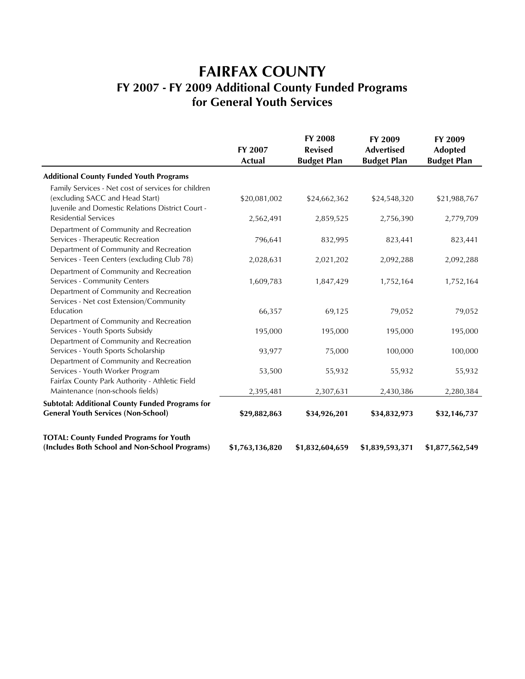# **FAIRFAX COUNTY FY 2007 - FY 2009 Additional County Funded Programs for General Youth Services**

|                                                        | FY 2007<br>Actual | FY 2008<br><b>Revised</b><br><b>Budget Plan</b> | FY 2009<br><b>Advertised</b><br><b>Budget Plan</b> | FY 2009<br><b>Adopted</b><br><b>Budget Plan</b> |
|--------------------------------------------------------|-------------------|-------------------------------------------------|----------------------------------------------------|-------------------------------------------------|
| <b>Additional County Funded Youth Programs</b>         |                   |                                                 |                                                    |                                                 |
| Family Services - Net cost of services for children    |                   |                                                 |                                                    |                                                 |
| (excluding SACC and Head Start)                        | \$20,081,002      | \$24,662,362                                    | \$24,548,320                                       | \$21,988,767                                    |
| Juvenile and Domestic Relations District Court -       |                   |                                                 |                                                    |                                                 |
| <b>Residential Services</b>                            | 2,562,491         | 2,859,525                                       | 2,756,390                                          | 2,779,709                                       |
| Department of Community and Recreation                 |                   |                                                 |                                                    |                                                 |
| Services - Therapeutic Recreation                      | 796,641           | 832,995                                         | 823,441                                            | 823,441                                         |
| Department of Community and Recreation                 |                   |                                                 |                                                    |                                                 |
| Services - Teen Centers (excluding Club 78)            | 2,028,631         | 2,021,202                                       | 2,092,288                                          | 2,092,288                                       |
| Department of Community and Recreation                 |                   |                                                 |                                                    |                                                 |
| Services - Community Centers                           | 1,609,783         | 1,847,429                                       | 1,752,164                                          | 1,752,164                                       |
| Department of Community and Recreation                 |                   |                                                 |                                                    |                                                 |
| Services - Net cost Extension/Community                |                   |                                                 |                                                    |                                                 |
| Education                                              | 66,357            | 69,125                                          | 79,052                                             | 79,052                                          |
| Department of Community and Recreation                 |                   |                                                 |                                                    |                                                 |
| Services - Youth Sports Subsidy                        | 195,000           | 195,000                                         | 195,000                                            | 195,000                                         |
| Department of Community and Recreation                 |                   |                                                 |                                                    |                                                 |
| Services - Youth Sports Scholarship                    | 93,977            | 75,000                                          | 100,000                                            | 100,000                                         |
| Department of Community and Recreation                 |                   |                                                 |                                                    |                                                 |
| Services - Youth Worker Program                        | 53,500            | 55,932                                          | 55,932                                             | 55,932                                          |
| Fairfax County Park Authority - Athletic Field         |                   |                                                 |                                                    |                                                 |
| Maintenance (non-schools fields)                       | 2,395,481         | 2,307,631                                       | 2,430,386                                          | 2,280,384                                       |
| <b>Subtotal: Additional County Funded Programs for</b> |                   |                                                 |                                                    |                                                 |
| <b>General Youth Services (Non-School)</b>             | \$29,882,863      | \$34,926,201                                    | \$34,832,973                                       | \$32,146,737                                    |
| <b>TOTAL: County Funded Programs for Youth</b>         |                   |                                                 |                                                    |                                                 |
| (Includes Both School and Non-School Programs)         | \$1,763,136,820   | \$1,832,604,659                                 | \$1,839,593,371                                    | \$1,877,562,549                                 |